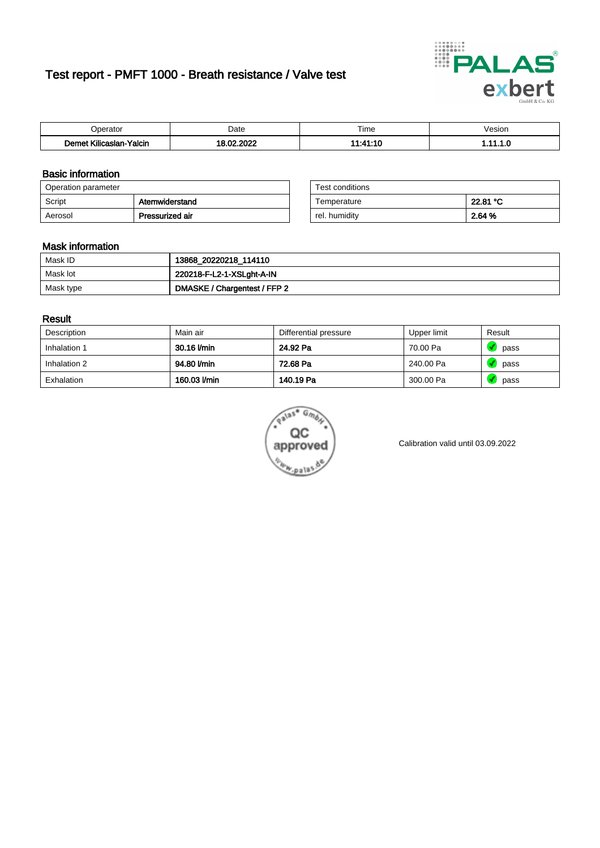# Test report - PMFT 1000 - Breath resistance / Valve test



| n<br>aw                                                   | Date | $- \cdot$<br>l ime | esion/ |
|-----------------------------------------------------------|------|--------------------|--------|
| -<br><b>SAME</b><br>Yalcin<br>aslan<br>KIIIC <sup>-</sup> | 000  | .                  | .      |

### Basic information

| Operation parameter |                 | Test conditions |          |
|---------------------|-----------------|-----------------|----------|
| Script              | Atemwiderstand  | Temperature     | 22.81 °C |
| Aerosol             | Pressurized air | rel. humidity   | 2.64 %   |

| Test conditions |          |
|-----------------|----------|
| Temperature     | 22.81 °C |
| rel. humidity   | 2.64 %   |

### Mask information

| Mask ID   | 13868_20220218_114110        |
|-----------|------------------------------|
| Mask lot  | 220218-F-L2-1-XSLght-A-IN    |
| Mask type | DMASKE / Chargentest / FFP 2 |

### Result

| Description  | Main air     | Differential pressure | Upper limit | Result |
|--------------|--------------|-----------------------|-------------|--------|
| Inhalation 1 | 30.16 l/min  | 24.92 Pa              | 70.00 Pa    | pass   |
| Inhalation 2 | 94.80 l/min  | 72.68 Pa              | 240.00 Pa   | pass   |
| Exhalation   | 160.03 l/min | 140.19 Pa             | 300.00 Pa   | pass   |



Calibration valid until 03.09.2022